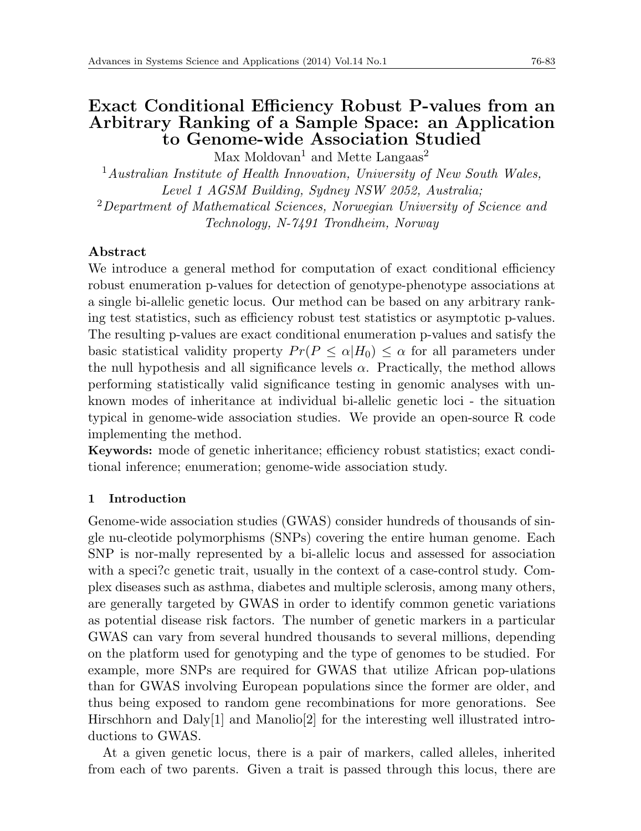# **Exact Conditional Efficiency Robust P-values from an Arbitrary Ranking of a Sample Space: an Application to Genome-wide Association Studied**

 $Max$  Moldovan<sup>1</sup> and Mette Langaas<sup>2</sup>

<sup>1</sup>*Australian Institute of Health Innovation, University of New South Wales, Level 1 AGSM Building, Sydney NSW 2052, Australia;*

<sup>2</sup>*Department of Mathematical Sciences, Norwegian University of Science and Technology, N-7491 Trondheim, Norway*

## **Abstract**

We introduce a general method for computation of exact conditional efficiency robust enumeration p-values for detection of genotype-phenotype associations at a single bi-allelic genetic locus. Our method can be based on any arbitrary ranking test statistics, such as efficiency robust test statistics or asymptotic p-values. The resulting p-values are exact conditional enumeration p-values and satisfy the basic statistical validity property  $Pr(P \leq \alpha | H_0) \leq \alpha$  for all parameters under the null hypothesis and all significance levels  $\alpha$ . Practically, the method allows performing statistically valid significance testing in genomic analyses with unknown modes of inheritance at individual bi-allelic genetic loci - the situation typical in genome-wide association studies. We provide an open-source R code implementing the method.

**Keywords:** mode of genetic inheritance; efficiency robust statistics; exact conditional inference; enumeration; genome-wide association study.

### **1 Introduction**

Genome-wide association studies (GWAS) consider hundreds of thousands of single nu-cleotide polymorphisms (SNPs) covering the entire human genome. Each SNP is nor-mally represented by a bi-allelic locus and assessed for association with a speci?c genetic trait, usually in the context of a case-control study. Complex diseases such as asthma, diabetes and multiple sclerosis, among many others, are generally targeted by GWAS in order to identify common genetic variations as potential disease risk factors. The number of genetic markers in a particular GWAS can vary from several hundred thousands to several millions, depending on the platform used for genotyping and the type of genomes to be studied. For example, more SNPs are required for GWAS that utilize African pop-ulations than for GWAS involving European populations since the former are older, and thus being exposed to random gene recombinations for more genorations. See Hirschhorn and Daly[1] and Manolio[2] for the interesting well illustrated introductions to GWAS.

At a given genetic locus, there is a pair of markers, called alleles, inherited from each of two parents. Given a trait is passed through this locus, there are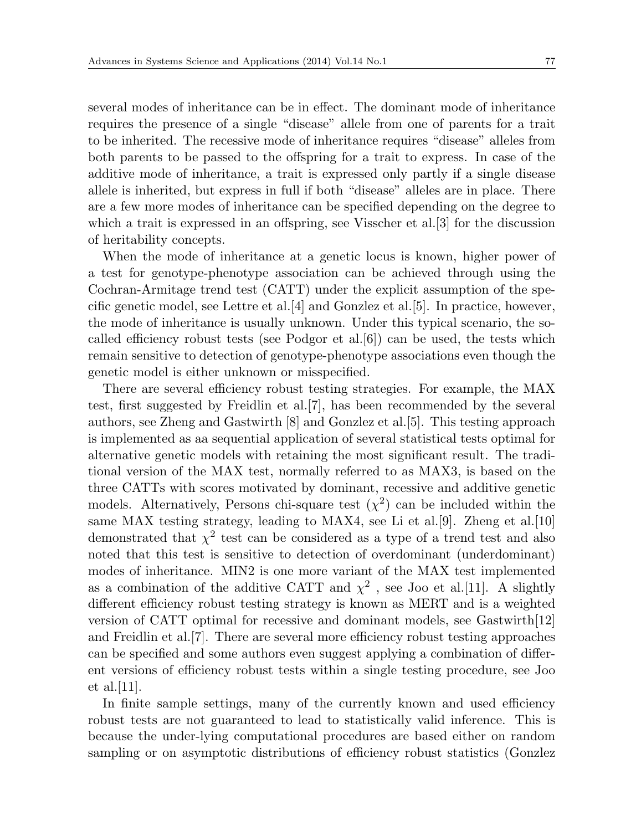several modes of inheritance can be in effect. The dominant mode of inheritance requires the presence of a single "disease" allele from one of parents for a trait to be inherited. The recessive mode of inheritance requires "disease" alleles from both parents to be passed to the offspring for a trait to express. In case of the additive mode of inheritance, a trait is expressed only partly if a single disease allele is inherited, but express in full if both "disease" alleles are in place. There are a few more modes of inheritance can be specified depending on the degree to which a trait is expressed in an offspring, see Visscher et al. [3] for the discussion of heritability concepts.

When the mode of inheritance at a genetic locus is known, higher power of a test for genotype-phenotype association can be achieved through using the Cochran-Armitage trend test (CATT) under the explicit assumption of the specific genetic model, see Lettre et al.[4] and Gonzlez et al.[5]. In practice, however, the mode of inheritance is usually unknown. Under this typical scenario, the socalled efficiency robust tests (see Podgor et al.[6]) can be used, the tests which remain sensitive to detection of genotype-phenotype associations even though the genetic model is either unknown or misspecified.

There are several efficiency robust testing strategies. For example, the MAX test, first suggested by Freidlin et al.[7], has been recommended by the several authors, see Zheng and Gastwirth [8] and Gonzlez et al.[5]. This testing approach is implemented as aa sequential application of several statistical tests optimal for alternative genetic models with retaining the most significant result. The traditional version of the MAX test, normally referred to as MAX3, is based on the three CATTs with scores motivated by dominant, recessive and additive genetic models. Alternatively, Persons chi-square test  $(\chi^2)$  can be included within the same MAX testing strategy, leading to MAX4, see Li et al.[9]. Zheng et al.[10] demonstrated that  $\chi^2$  test can be considered as a type of a trend test and also noted that this test is sensitive to detection of overdominant (underdominant) modes of inheritance. MIN2 is one more variant of the MAX test implemented as a combination of the additive CATT and  $\chi^2$ , see Joo et al. [11]. A slightly different efficiency robust testing strategy is known as MERT and is a weighted version of CATT optimal for recessive and dominant models, see Gastwirth $[12]$ and Freidlin et al.[7]. There are several more efficiency robust testing approaches can be specified and some authors even suggest applying a combination of different versions of efficiency robust tests within a single testing procedure, see Joo et al. $|11|$ .

In finite sample settings, many of the currently known and used efficiency robust tests are not guaranteed to lead to statistically valid inference. This is because the under-lying computational procedures are based either on random sampling or on asymptotic distributions of efficiency robust statistics (Gonzlez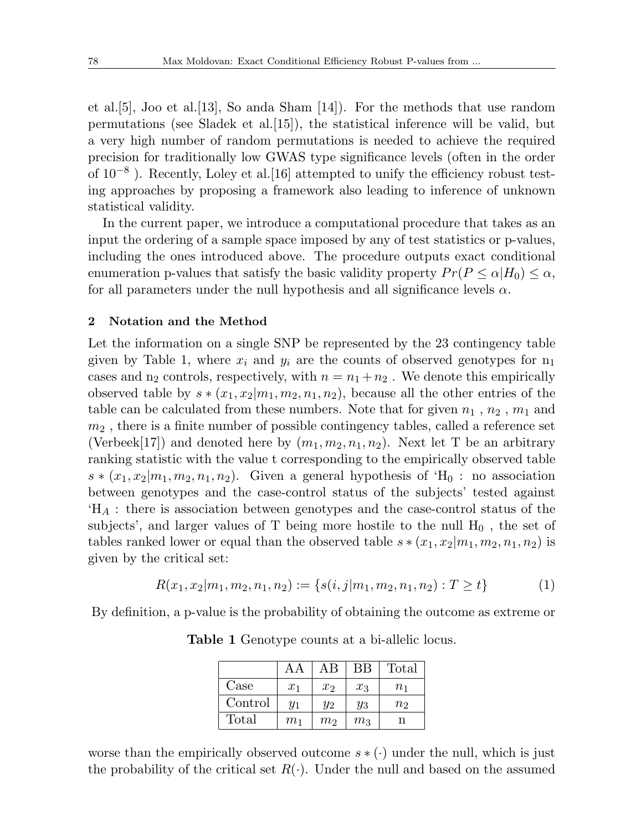et al.[5], Joo et al.[13], So anda Sham [14]). For the methods that use random permutations (see Sladek et al.[15]), the statistical inference will be valid, but a very high number of random permutations is needed to achieve the required precision for traditionally low GWAS type significance levels (often in the order of 10*−*<sup>8</sup> ). Recently, Loley et al.[16] attempted to unify the efficiency robust testing approaches by proposing a framework also leading to inference of unknown statistical validity.

In the current paper, we introduce a computational procedure that takes as an input the ordering of a sample space imposed by any of test statistics or p-values, including the ones introduced above. The procedure outputs exact conditional enumeration p-values that satisfy the basic validity property  $Pr(P \leq \alpha | H_0) \leq \alpha$ , for all parameters under the null hypothesis and all significance levels  $\alpha$ .

#### **2 Notation and the Method**

Let the information on a single SNP be represented by the 23 contingency table given by Table 1, where  $x_i$  and  $y_i$  are the counts of observed genotypes for  $n_1$ cases and  $n_2$  controls, respectively, with  $n = n_1 + n_2$ . We denote this empirically observed table by  $s*(x_1, x_2|m_1, m_2, n_1, n_2)$ , because all the other entries of the table can be calculated from these numbers. Note that for given  $n_1$ ,  $n_2$ ,  $m_1$  and *m*<sup>2</sup> , there is a finite number of possible contingency tables, called a reference set (Verbeek[17]) and denoted here by  $(m_1, m_2, n_1, n_2)$ . Next let T be an arbitrary ranking statistic with the value t corresponding to the empirically observed table  $s*(x_1, x_2|m_1, m_2, n_1, n_2)$ . Given a general hypothesis of 'H<sub>0</sub> : no association between genotypes and the case-control status of the subjects' tested against 'H*<sup>A</sup>* : there is association between genotypes and the case-control status of the subjects', and larger values of T being more hostile to the null  $H_0$ , the set of tables ranked lower or equal than the observed table  $s*(x_1, x_2|m_1, m_2, n_1, n_2)$  is given by the critical set:

$$
R(x_1, x_2|m_1, m_2, n_1, n_2) := \{s(i, j|m_1, m_2, n_1, n_2) : T \ge t\}
$$
 (1)

By definition, a p-value is the probability of obtaining the outcome as extreme or

|                       | ΑA             | ΑB             | ВB    | Total          |
|-----------------------|----------------|----------------|-------|----------------|
| $\operatorname{Case}$ | $x_1$          | x <sub>2</sub> | $x_3$ | $n_{1}$        |
| Control               | $y_1$          | $y_2$          | $y_3$ | n <sub>2</sub> |
| Total                 | m <sub>1</sub> | m <sub>2</sub> | $m_3$ | n              |

**Table 1** Genotype counts at a bi-allelic locus.

worse than the empirically observed outcome *s ∗* (*·*) under the null, which is just the probability of the critical set  $R(\cdot)$ . Under the null and based on the assumed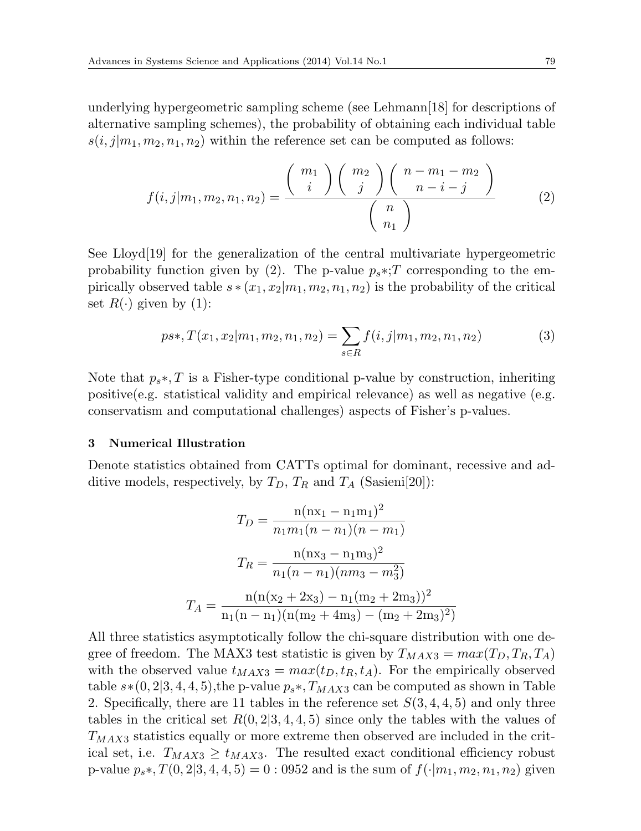underlying hypergeometric sampling scheme (see Lehmann[18] for descriptions of alternative sampling schemes), the probability of obtaining each individual table  $s(i, j|m_1, m_2, n_1, n_2)$  within the reference set can be computed as follows:

$$
f(i,j|m_1, m_2, n_1, n_2) = \frac{\binom{m_1}{i} \binom{m_2}{j} \binom{n - m_1 - m_2}{n - i - j}}{\binom{n}{n_1}}
$$
(2)

See Lloyd<sup>[19]</sup> for the generalization of the central multivariate hypergeometric probability function given by (2). The p-value  $p_s * T$  corresponding to the empirically observed table  $s*(x_1, x_2|m_1, m_2, n_1, n_2)$  is the probability of the critical set  $R(\cdot)$  given by (1):

$$
ps*, T(x_1, x_2|m_1, m_2, n_1, n_2) = \sum_{s \in R} f(i, j|m_1, m_2, n_1, n_2)
$$
 (3)

Note that *ps∗, T* is a Fisher-type conditional p-value by construction, inheriting positive(e.g. statistical validity and empirical relevance) as well as negative (e.g. conservatism and computational challenges) aspects of Fisher's p-values.

#### **3 Numerical Illustration**

Denote statistics obtained from CATTs optimal for dominant, recessive and additive models, respectively, by  $T_D$ ,  $T_R$  and  $T_A$  (Sasieni[20]):

$$
T_D = \frac{n(nx_1 - n_1m_1)^2}{n_1m_1(n - n_1)(n - m_1)}
$$

$$
T_R = \frac{n(nx_3 - n_1m_3)^2}{n_1(n - n_1)(nm_3 - m_3^2)}
$$

$$
T_A = \frac{n(n(x_2 + 2x_3) - n_1(m_2 + 2m_3))^2}{n_1(n - n_1)(n(m_2 + 4m_3) - (m_2 + 2m_3)^2)}
$$

All three statistics asymptotically follow the chi-square distribution with one degree of freedom. The MAX3 test statistic is given by  $T_{MAX3} = max(T_D, T_R, T_A)$ with the observed value  $t_{MAX3} = max(t_D, t_R, t_A)$ . For the empirically observed table  $s*(0,2|3,4,4,5)$ ,the p-value  $p_s*, T_{MAX3}$  can be computed as shown in Table 2. Specifically, there are 11 tables in the reference set *S*(3*,* 4*,* 4*,* 5) and only three tables in the critical set  $R(0, 2|3, 4, 4, 5)$  since only the tables with the values of *TMAX*<sup>3</sup> statistics equally or more extreme then observed are included in the critical set, i.e.  $T_{MAX3} \geq t_{MAX3}$ . The resulted exact conditional efficiency robust p-value  $p_s * T(0, 2|3, 4, 4, 5) = 0$ : 0952 and is the sum of  $f(\cdot|m_1, m_2, n_1, n_2)$  given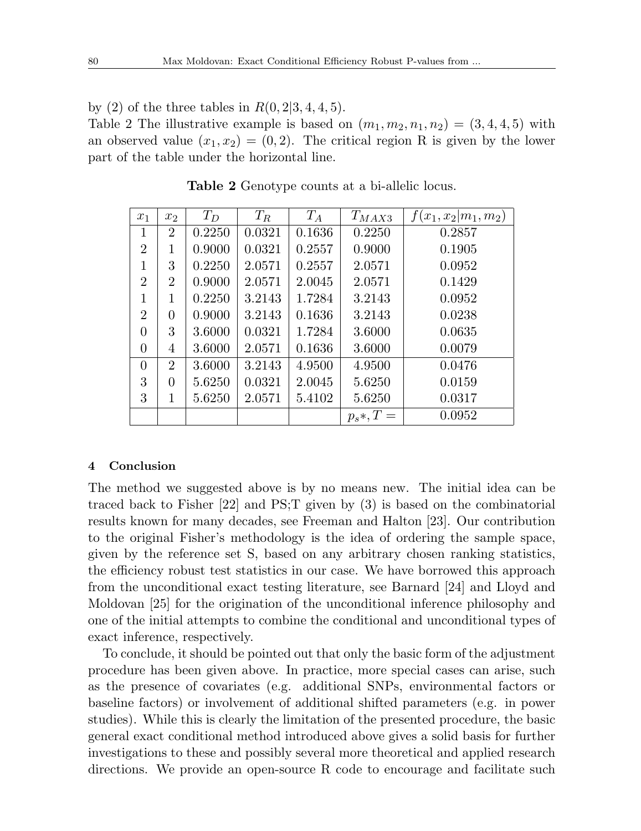by (2) of the three tables in  $R(0, 2|3, 4, 4, 5)$ .

Table 2 The illustrative example is based on  $(m_1, m_2, n_1, n_2) = (3, 4, 4, 5)$  with an observed value  $(x_1, x_2) = (0, 2)$ . The critical region R is given by the lower part of the table under the horizontal line.

| $x_1$          | x <sub>2</sub> | $T_D$  | $T_R$  | $T_A$  | $T_{MAX3}$  | $f(x_1, x_2 m_1, m_2)$ |
|----------------|----------------|--------|--------|--------|-------------|------------------------|
| 1              | $\overline{2}$ | 0.2250 | 0.0321 | 0.1636 | 0.2250      | 0.2857                 |
| $\overline{2}$ | 1              | 0.9000 | 0.0321 | 0.2557 | 0.9000      | 0.1905                 |
| 1              | 3              | 0.2250 | 2.0571 | 0.2557 | 2.0571      | 0.0952                 |
| $\overline{2}$ | $\overline{2}$ | 0.9000 | 2.0571 | 2.0045 | 2.0571      | 0.1429                 |
| 1              | 1              | 0.2250 | 3.2143 | 1.7284 | 3.2143      | 0.0952                 |
| $\overline{2}$ | 0              | 0.9000 | 3.2143 | 0.1636 | 3.2143      | 0.0238                 |
| 0              | 3              | 3.6000 | 0.0321 | 1.7284 | 3.6000      | 0.0635                 |
| 0              | 4              | 3.6000 | 2.0571 | 0.1636 | 3.6000      | 0.0079                 |
| $\Omega$       | $\overline{2}$ | 3.6000 | 3.2143 | 4.9500 | 4.9500      | 0.0476                 |
| 3              | 0              | 5.6250 | 0.0321 | 2.0045 | 5.6250      | 0.0159                 |
| 3              | 1              | 5.6250 | 2.0571 | 5.4102 | 5.6250      | 0.0317                 |
|                |                |        |        |        | $p_s*, T =$ | 0.0952                 |

**Table 2** Genotype counts at a bi-allelic locus.

#### **4 Conclusion**

The method we suggested above is by no means new. The initial idea can be traced back to Fisher [22] and PS;T given by (3) is based on the combinatorial results known for many decades, see Freeman and Halton [23]. Our contribution to the original Fisher's methodology is the idea of ordering the sample space, given by the reference set S, based on any arbitrary chosen ranking statistics, the efficiency robust test statistics in our case. We have borrowed this approach from the unconditional exact testing literature, see Barnard [24] and Lloyd and Moldovan [25] for the origination of the unconditional inference philosophy and one of the initial attempts to combine the conditional and unconditional types of exact inference, respectively.

To conclude, it should be pointed out that only the basic form of the adjustment procedure has been given above. In practice, more special cases can arise, such as the presence of covariates (e.g. additional SNPs, environmental factors or baseline factors) or involvement of additional shifted parameters (e.g. in power studies). While this is clearly the limitation of the presented procedure, the basic general exact conditional method introduced above gives a solid basis for further investigations to these and possibly several more theoretical and applied research directions. We provide an open-source R code to encourage and facilitate such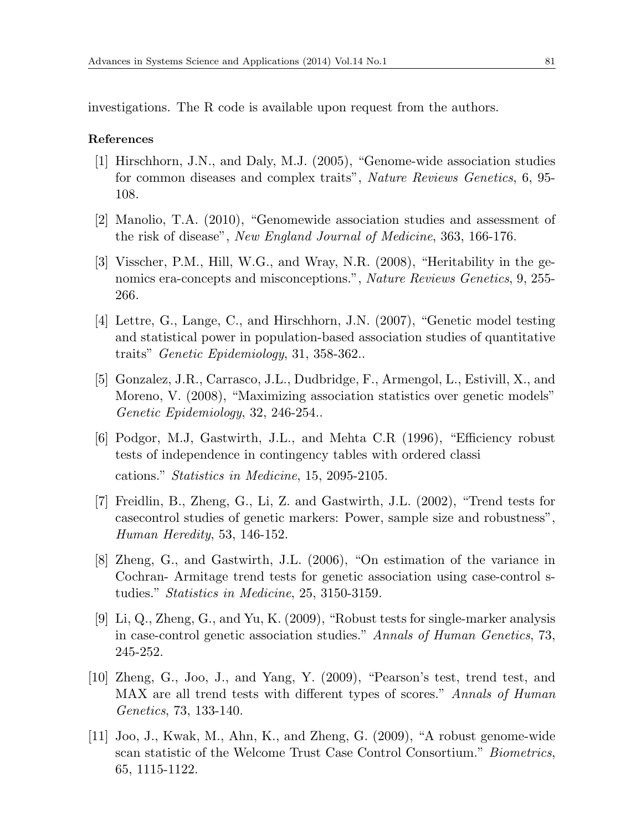investigations. The R code is available upon request from the authors.

#### **References**

- [1] Hirschhorn, J.N., and Daly, M.J. (2005), "Genome-wide association studies for common diseases and complex traits", *Nature Reviews Genetics*, 6, 95- 108.
- [2] Manolio, T.A. (2010), "Genomewide association studies and assessment of the risk of disease", *New England Journal of Medicine*, 363, 166-176.
- [3] Visscher, P.M., Hill, W.G., and Wray, N.R. (2008), "Heritability in the genomics era-concepts and misconceptions.", *Nature Reviews Genetics*, 9, 255- 266.
- [4] Lettre, G., Lange, C., and Hirschhorn, J.N. (2007), "Genetic model testing and statistical power in population-based association studies of quantitative traits" *Genetic Epidemiology*, 31, 358-362..
- [5] Gonzalez, J.R., Carrasco, J.L., Dudbridge, F., Armengol, L., Estivill, X., and Moreno, V. (2008), "Maximizing association statistics over genetic models" *Genetic Epidemiology*, 32, 246-254..
- [6] Podgor, M.J, Gastwirth, J.L., and Mehta C.R (1996), "Efficiency robust tests of independence in contingency tables with ordered classi cations." *Statistics in Medicine*, 15, 2095-2105.
- [7] Freidlin, B., Zheng, G., Li, Z. and Gastwirth, J.L. (2002), "Trend tests for casecontrol studies of genetic markers: Power, sample size and robustness", *Human Heredity*, 53, 146-152.
- [8] Zheng, G., and Gastwirth, J.L. (2006), "On estimation of the variance in Cochran- Armitage trend tests for genetic association using case-control studies." *Statistics in Medicine*, 25, 3150-3159.
- [9] Li, Q., Zheng, G., and Yu, K. (2009), "Robust tests for single-marker analysis in case-control genetic association studies." *Annals of Human Genetics*, 73, 245-252.
- [10] Zheng, G., Joo, J., and Yang, Y. (2009), "Pearson's test, trend test, and MAX are all trend tests with different types of scores." *Annals of Human Genetics*, 73, 133-140.
- [11] Joo, J., Kwak, M., Ahn, K., and Zheng, G. (2009), "A robust genome-wide scan statistic of the Welcome Trust Case Control Consortium." *Biometrics*, 65, 1115-1122.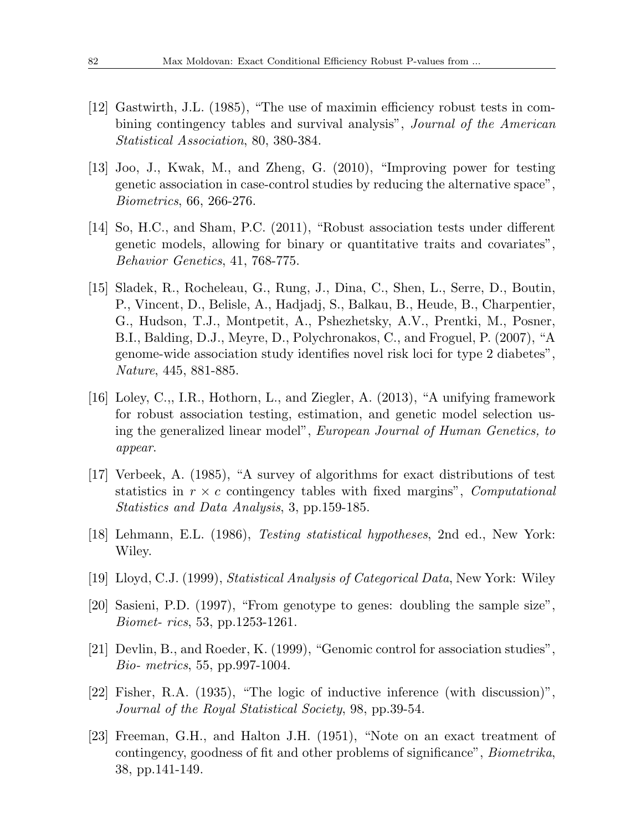- [12] Gastwirth, J.L. (1985), "The use of maximin efficiency robust tests in combining contingency tables and survival analysis", *Journal of the American Statistical Association*, 80, 380-384.
- [13] Joo, J., Kwak, M., and Zheng, G. (2010), "Improving power for testing genetic association in case-control studies by reducing the alternative space", *Biometrics*, 66, 266-276.
- [14] So, H.C., and Sham, P.C. (2011), "Robust association tests under different genetic models, allowing for binary or quantitative traits and covariates", *Behavior Genetics*, 41, 768-775.
- [15] Sladek, R., Rocheleau, G., Rung, J., Dina, C., Shen, L., Serre, D., Boutin, P., Vincent, D., Belisle, A., Hadjadj, S., Balkau, B., Heude, B., Charpentier, G., Hudson, T.J., Montpetit, A., Pshezhetsky, A.V., Prentki, M., Posner, B.I., Balding, D.J., Meyre, D., Polychronakos, C., and Froguel, P. (2007), "A genome-wide association study identifies novel risk loci for type 2 diabetes", *Nature*, 445, 881-885.
- [16] Loley, C.,, I.R., Hothorn, L., and Ziegler, A. (2013), "A unifying framework for robust association testing, estimation, and genetic model selection using the generalized linear model", *European Journal of Human Genetics, to appear*.
- [17] Verbeek, A. (1985), "A survey of algorithms for exact distributions of test statistics in *r × c* contingency tables with fixed margins", *Computational Statistics and Data Analysis*, 3, pp.159-185.
- [18] Lehmann, E.L. (1986), *Testing statistical hypotheses*, 2nd ed., New York: Wiley.
- [19] Lloyd, C.J. (1999), *Statistical Analysis of Categorical Data*, New York: Wiley
- [20] Sasieni, P.D. (1997), "From genotype to genes: doubling the sample size", *Biomet- rics*, 53, pp.1253-1261.
- [21] Devlin, B., and Roeder, K. (1999), "Genomic control for association studies", *Bio- metrics*, 55, pp.997-1004.
- [22] Fisher, R.A. (1935), "The logic of inductive inference (with discussion)", *Journal of the Royal Statistical Society*, 98, pp.39-54.
- [23] Freeman, G.H., and Halton J.H. (1951), "Note on an exact treatment of contingency, goodness of fit and other problems of significance", *Biometrika*, 38, pp.141-149.